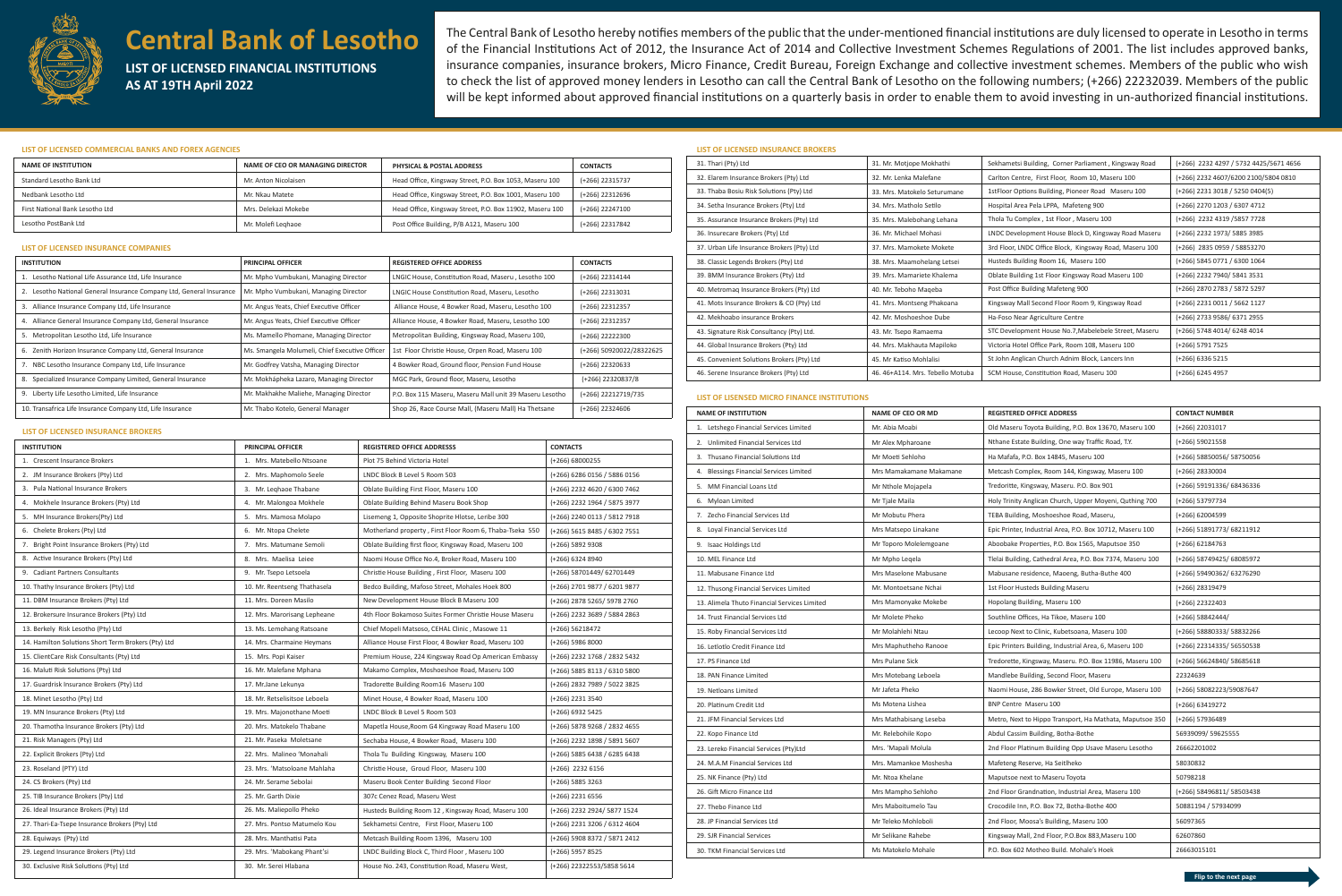

# **Central Bank of Lesotho**

**LIST OF LICENSED FINANCIAL INSTITUTIONS AS AT 19TH April 2022**

The Central Bank of Lesotho hereby notifies members of the public that the under-mentioned financial institutions are duly licensed to operate in Lesotho in terms of the Financial Institutions Act of 2012, the Insurance Act of 2014 and Collective Investment Schemes Regulations of 2001. The list includes approved banks, insurance companies, insurance brokers, Micro Finance, Credit Bureau, Foreign Exchange and collective investment schemes. Members of the public who wish to check the list of approved money lenders in Lesotho can call the Central Bank of Lesotho on the following numbers; (+266) 22232039. Members of the public will be kept informed about approved financial institutions on a quarterly basis in order to enable them to avoid investing in un-authorized financial institutions.

# **LIST OF LICENSED COMMERCIAL BANKS AND FOREX AGENCIES**

## **LIST OF LICENSED INSURANCE COMPANIES**

# **LIST OF LICENSED INSURANCE BROKERS**

# **LIST OF LICENSED INSURANCE BROKERS**

### **LIST OF LISENSED MICRO FINANCE INSTITUTIONS**

| <b>NAME OF INSTITUTION</b>      | NAME OF CEO OR MANAGING DIRECTOR | <b>PHYSICAL &amp; POSTAL ADDRESS</b>                     | <b>CONTACTS</b> |
|---------------------------------|----------------------------------|----------------------------------------------------------|-----------------|
| Standard Lesotho Bank Ltd       | Mr. Anton Nicolaisen             | Head Office, Kingsway Street, P.O. Box 1053, Maseru 100  | (+266) 22315737 |
| Nedbank Lesotho Ltd             | Mr. Nkau Matete                  | Head Office, Kingsway Street, P.O. Box 1001, Maseru 100  | (+266) 22312696 |
| First National Bank Lesotho Ltd | Mrs. Delekazi Mokebe             | Head Office, Kingsway Street, P.O. Box 11902, Maseru 100 | (+266) 22247100 |
| Lesotho PostBank Ltd            | Mr. Molefi Leghaoe               | Post Office Building, P/B A121, Maseru 100               | (+266) 22317842 |

| <b>INSTITUTION</b>                                                   | <b>PRINCIPAL OFFICER</b>                       | <b>REGISTERED OFFICE ADDRESS</b>                        | <b>CONTACTS</b>          |
|----------------------------------------------------------------------|------------------------------------------------|---------------------------------------------------------|--------------------------|
| 1. Lesotho National Life Assurance Ltd, Life Insurance               | Mr. Mpho Vumbukani, Managing Director          | LNGIC House, Constitution Road, Maseru, Lesotho 100     | (+266) 22314144          |
| 2. Lesotho National General Insurance Company Ltd, General Insurance | Mr. Mpho Vumbukani, Managing Director          | LNGIC House Constitution Road, Maseru, Lesotho          | $(+266)$ 22313031        |
| 3. Alliance Insurance Company Ltd, Life Insurance                    | Mr. Angus Yeats, Chief Executive Officer       | Alliance House, 4 Bowker Road, Maseru, Lesotho 100      | (+266) 22312357          |
| 4. Alliance General Insurance Company Ltd, General Insurance         | Mr. Angus Yeats, Chief Executive Officer       | Alliance House, 4 Bowker Road, Maseru, Lesotho 100      | $(+266)$ 22312357        |
| 5. Metropolitan Lesotho Ltd, Life Insurance                          | Ms. Mamello Phomane, Managing Director         | Metropolitan Building, Kingsway Road, Maseru 100,       | $(+266)$ 22222300        |
| 6. Zenith Horizon Insurance Company Ltd, General Insurance           | Ms. Smangela Molumeli, Chief Executive Officer | 1st Floor Christie House, Orpen Road, Maseru 100        | (+266) 50920022/28322625 |
| 7. NBC Lesotho Insurance Company Ltd, Life Insurance                 | Mr. Godfrey Vatsha, Managing Director          | 4 Bowker Road, Ground floor, Pension Fund House         | (+266) 22320633          |
| 8. Specialized Insurance Company Limited, General Insurance          | Mr. Mokhápheka Lazaro, Managing Director       | MGC Park, Ground floor, Maseru, Lesotho                 | (+266) 22320837/8        |
| 9. Liberty Life Lesotho Limited, Life Insurance                      | Mr. Makhakhe Maliehe, Managing Director        | P.O. Box 115 Maseru, Maseru Mall unit 39 Maseru Lesotho | (+266) 22212719/735      |
| 10. Transafrica Life Insurance Company Ltd, Life Insurance           | Mr. Thabo Kotelo, General Manager              | Shop 26, Race Course Mall, (Maseru Mall) Ha Thetsane    | $(+266)$ 22324606        |
|                                                                      |                                                |                                                         |                          |

| <b>INSTITUTION</b>                                  | <b>PRINCIPAL OFFICER</b>      | <b>REGISTERED OFFICE ADDRESSS</b>                        | <b>CONTACTS</b>                |
|-----------------------------------------------------|-------------------------------|----------------------------------------------------------|--------------------------------|
| 1. Crescent Insurance Brokers                       | 1. Mrs. Matebello Ntsoane     | Plot 75 Behind Victoria Hotel                            | $(+266) 68000255$              |
| 2. JM Insurance Brokers (Pty) Ltd                   | 2. Mrs. Maphomolo Seele       | LNDC Block B Level 5 Room 503                            | (+266) 6286 0156 / 5886 0156   |
| 3. Pula National Insurance Brokers                  | 3. Mr. Leghaoe Thabane        | Oblate Building First Floor, Maseru 100                  | (+266) 2232 4620 / 6300 7462   |
| 4. Mokhele Insurance Brokers (Pty) Ltd              | 4. Mr. Malongoa Mokhele       | Oblate Building Behind Maseru Book Shop                  | (+266) 2232 1964 / 5875 3977   |
| 5. MH Insurance Brokers(Pty) Ltd                    | 5. Mrs. Mamosa Molapo         | Lisemeng 1, Opposite Shoprite Hlotse, Leribe 300         | (+266) 2240 0113 / 5812 7918   |
| 6. Chelete Brokers (Pty) Ltd                        | 6. Mr. Ntopa Chelete          | Motherland property, First Floor Room 6, Thaba-Tseka 550 | (+266) 5615 8485 / 6302 7551   |
| 7. Bright Point Insurance Brokers (Pty) Ltd         | 7. Mrs. Matumane Semoli       | Oblate Building first floor, Kingsway Road, Maseru 100   | $(+266)$ 5892 9308             |
| 8. Active Insurance Brokers (Pty) Ltd               | 8. Mrs. Maelisa Leiee         | Naomi House Office No.4, Broker Road, Maseru 100         | $(+266)$ 6324 8940             |
| 9. Cadiant Partners Consultants                     | 9. Mr. Tsepo Letsoela         | Christie House Building, First Floor, Maseru 100         | (+266) 58701449/ 62701449      |
| 10. Thathy Insurance Brokers (Pty) Ltd              | 10. Mr. Reentseng Thathasela  | Bedco Building, Mafoso Street, Mohales Hoek 800          | (+266) 2701 9877 / 6201 9877   |
| 11. DBM Insurance Brokers (Pty) Ltd                 | 11. Mrs. Doreen Masilo        | New Development House Block B Maseru 100                 | (+266) 2878 5265/ 5978 2760    |
| 12. Brokersure Insurance Brokers (Pty) Ltd          | 12. Mrs. Marorisang Lepheane  | 4th Floor Bokamoso Suites Former Christie House Maseru   | (+266) 2232 3689 / 5884 2863   |
| 13. Berkely Risk Lesotho (Pty) Ltd                  | 13. Ms. Lemohang Ratsoane     | Chief Mopeli Matsoso, CEHAL Clinic, Masowe 11            | $(+266)$ 56218472              |
| 14. Hamilton Solutions Short Term Brokers (Pty) Ltd | 14. Mrs. Charmaine Heymans    | Alliance House First Floor, 4 Bowker Road, Maseru 100    | $(+266)$ 5986 8000             |
| 15. ClientCare Risk Consultants (Pty) Ltd           | 15. Mrs. Popi Kaiser          | Premium House, 224 Kingsway Road Op American Embassy     | (+266) 2232 1768 / 2832 5432   |
| 16. Maluti Risk Solutions (Pty) Ltd                 | 16. Mr. Malefane Mphana       | Makamo Complex, Moshoeshoe Road, Maseru 100              | $(+266)$ 5885 8113 / 6310 5800 |
| 17. Guardrisk Insurance Brokers (Pty) Ltd           | 17. Mr.Jane Lekunya           | Tradorette Building Room16 Maseru 100                    | (+266) 2832 7989 / 5022 3825   |
| 18. Minet Lesotho (Pty) Ltd                         | 18. Mr. Retselisitsoe Leboela | Minet House, 4 Bowker Road, Maseru 100                   | (+266) 2231 3540               |
| 19. MN Insurance Brokers (Pty) Ltd                  | 19. Mrs. Majonothane Moeti    | LNDC Block B Level 5 Room 503                            | $(+266)$ 6932 5425             |
| 20. Thamotha Insurance Brokers (Pty) Ltd            | 20. Mrs. Matokelo Thabane     | Mapetla House, Room G4 Kingsway Road Maseru 100          | (+266) 5878 9268 / 2832 4655   |
| 21. Risk Managers (Pty) Ltd                         | 21. Mr. Paseka Moletsane      | Sechaba House, 4 Bowker Road, Maseru 100                 | (+266) 2232 1898 / 5891 5607   |
| 22. Explicit Brokers (Pty) Ltd                      | 22. Mrs. Malineo 'Monahali    | Thola Tu Building Kingsway, Maseru 100                   | $(+266)$ 5885 6438 / 6285 6438 |
| 23. Roseland (PTY) Ltd                              | 23. Mrs. 'Matsoloane Mahlaha  | Christie House, Groud Floor, Maseru 100                  | $(+266)$ 2232 6156             |
| 24. CS Brokers (Pty) Ltd                            | 24. Mr. Serame Sebolai        | Maseru Book Center Building Second Floor                 | $(+266)$ 5885 3263             |
| 25. TIB Insurance Brokers (Pty) Ltd                 | 25. Mr. Garth Dixie           | 307c Cenez Road, Maseru West                             | $(+266)$ 2231 6556             |
| 26. Ideal Insurance Brokers (Pty) Ltd               | 26. Ms. Maliepollo Pheko      | Husteds Building Room 12, Kingsway Road, Maseru 100      | (+266) 2232 2924/ 5877 1524    |
| 27. Thari-Ea-Tsepe Insurance Brokers (Pty) Ltd      | 27. Mrs. Pontso Matumelo Kou  | Sekhametsi Centre, First Floor, Maseru 100               | (+266) 2231 3206 / 6312 4604   |
| 28. Equiways (Pty) Ltd                              | 28. Mrs. Manthatisi Pata      | Metcash Building Room 1396, Maseru 100                   | (+266) 5908 8372 / 5871 2412   |
| 29. Legend Insurance Brokers (Pty) Ltd              | 29. Mrs. 'Mabokang Phant'si   | LNDC Building Block C, Third Floor, Maseru 100           | $(+266)$ 5957 8525             |
| 30. Exclusive Risk Solutions (Pty) Ltd              | 30. Mr. Serei Hlabana         | House No. 243, Constitution Road, Maseru West,           | (+266) 22322553/5858 5614      |

| 31. Mr. Motjope Mokhathi         | Sekhametsi Building, Corner Parliament, Kingsway Road   | (+266) 2232 4297 / 5732 4425/5671 4656 |
|----------------------------------|---------------------------------------------------------|----------------------------------------|
| 32. Mr. Lenka Malefane           | Carlton Centre, First Floor, Room 10, Maseru 100        | (+266) 2232 4607/6200 2100/5804 0810   |
| 33. Mrs. Matokelo Seturumane     | 1stFloor Options Building, Pioneer Road Maseru 100      | $(+266)$ 2231 3018 / 5250 0404(5)      |
| 34. Mrs. Matholo Setilo          | Hospital Area Pela LPPA, Mafeteng 900                   | (+266) 2270 1203 / 6307 4712           |
| 35. Mrs. Malebohang Lehana       | Thola Tu Complex, 1st Floor, Maseru 100                 | (+266) 2232 4319 / 5857 7728           |
| 36. Mr. Michael Mohasi           | LNDC Development House Block D, Kingsway Road Maseru    | (+266) 2232 1973/ 5885 3985            |
| 37. Mrs. Mamokete Mokete         | 3rd Floor, LNDC Office Block, Kingsway Road, Maseru 100 | (+266) 2835 0959 / 58853270            |
| 38. Mrs. Maamohelang Letsei      | Husteds Building Room 16, Maseru 100                    | $(+266)$ 5845 0771 / 6300 1064         |
| 39. Mrs. Mamariete Khalema       | Oblate Building 1st Floor Kingsway Road Maseru 100      | (+266) 2232 7940/ 5841 3531            |
| 40. Mr. Teboho Maqeba            | Post Office Building Mafeteng 900                       | (+266) 2870 2783 / 5872 5297           |
| 41. Mrs. Montseng Phakoana       | Kingsway Mall Second Floor Room 9, Kingsway Road        | (+266) 2231 0011 / 5662 1127           |
| 42. Mr. Moshoeshoe Dube          | Ha-Foso Near Agriculture Centre                         | (+266) 2733 9586/ 6371 2955            |
| 43. Mr. Tsepo Ramaema            | STC Development House No.7, Mabelebele Street, Maseru   | (+266) 5748 4014/ 6248 4014            |
| 44. Mrs. Makhauta Mapiloko       | Victoria Hotel Office Park, Room 108, Maseru 100        | $(+266)$ 5791 7525                     |
| 45. Mr Katiso Mohlalisi          | St John Anglican Church Adnim Block, Lancers Inn        | $(+266)$ 6336 5215                     |
| 46. 46+A114. Mrs. Tebello Motuba | SCM House, Constitution Road, Maseru 100                | $(+266)$ 6245 4957                     |
|                                  |                                                         |                                        |

| <b>NAME OF INSTITUTION</b>                   | <b>NAME OF CEO OR MD</b> | <b>REGISTERED OFFICE ADDRESS</b>                           | <b>CONTACT NUMBER</b>     |
|----------------------------------------------|--------------------------|------------------------------------------------------------|---------------------------|
| 1. Letshego Financial Services Limited       | Mr. Abia Moabi           | Old Maseru Toyota Building, P.O. Box 13670, Maseru 100     | $(+266)$ 22031017         |
| 2. Unlimited Financial Services Ltd          | Mr Alex Mpharoane        | Nthane Estate Building, One way Traffic Road, T.Y.         | $(+266)$ 59021558         |
| 3. Thusano Financial Solutions Ltd           | Mr Moeti Sehloho         | Ha Mafafa, P.O. Box 14845, Maseru 100                      | (+266) 58850056/ 58750056 |
| 4. Blessings Financial Services Limited      | Mrs Mamakamane Makamane  | Metcash Complex, Room 144, Kingsway, Maseru 100            | $(+266)$ 28330004         |
| 5. MM Financial Loans Ltd                    | Mr Nthole Mojapela       | Tredoritte, Kingsway, Maseru. P.O. Box 901                 | (+266) 59191336/ 68436336 |
| 6. Myloan Limited                            | Mr Tjale Maila           | Holy Trinity Anglican Church, Upper Moyeni, Quthing 700    | $(+266)$ 53797734         |
| 7. Zecho Financial Services Ltd              | Mr Mobutu Phera          | TEBA Building, Moshoeshoe Road, Maseru,                    | $(+266)$ 62004599         |
| 8. Loyal Financial Services Ltd              | Mrs Matsepo Linakane     | Epic Printer, Industrial Area, P.O. Box 10712, Maseru 100  | (+266) 51891773/ 68211912 |
| 9. Isaac Holdings Ltd                        | Mr Toporo Molelemgoane   | Aboobake Properties, P.O. Box 1565, Maputsoe 350           | $(+266)$ 62184763         |
| 10. MEL Finance Ltd                          | Mr Mpho Legela           | Tlelai Building, Cathedral Area, P.O. Box 7374, Maseru 100 | (+266) 58749425/ 68085972 |
| 11. Mabusane Finance Ltd                     | Mrs Maselone Mabusane    | Mabusane residence, Maoeng, Butha-Buthe 400                | (+266) 59490362/ 63276290 |
| 12. Thusong Financial Services Limited       | Mr. Montoetsane Nchai    | 1st Floor Husteds Building Maseru                          | $(+266)$ 28319479         |
| 13. Alimela Thuto Financial Services Limited | Mrs Mamonyake Mokebe     | Hopolang Building, Maseru 100                              | $(+266)$ 22322403         |
| 14. Trust Financial Services Ltd             | Mr Molete Pheko          | Southline Offices, Ha Tikoe, Maseru 100                    | $(+266)$ 58842444/        |
| 15. Roby Financial Services Ltd              | Mr Molahlehi Ntau        | Lecoop Next to Clinic, Kubetsoana, Maseru 100              | (+266) 58880333/ 58832266 |
| 16. Letlotlo Credit Finance Ltd              | Mrs Maphutheho Ranooe    | Epic Printers Building, Industrial Area, 6, Maseru 100     | (+266) 22314335/ 56550538 |
| 17. PS Finance Ltd                           | Mrs Pulane Sick          | Tredorette, Kingsway, Maseru. P.O. Box 11986, Maseru 100   | (+266) 56624840/ 58685618 |
| 18. PAN Finance Limited                      | Mrs Motebang Leboela     | Mandlebe Building, Second Floor, Maseru                    | 22324639                  |
| 19. Netloans Limited                         | Mr Jafeta Pheko          | Naomi House, 286 Bowker Street, Old Europe, Maseru 100     | (+266) 58082223/59087647  |
| 20. Platinum Credit Ltd                      | Ms Motena Lishea         | <b>BNP Centre Maseru 100</b>                               | $(+266)$ 63419272         |
| 21. JFM Financial Services Ltd               | Mrs Mathabisang Leseba   | Metro, Next to Hippo Transport, Ha Mathata, Maputsoe 350   | $(+266)$ 57936489         |
| 22. Kopo Finance Ltd                         | Mr. Relebohile Kopo      | Abdul Cassim Building, Botha-Bothe                         | 56939099/59625555         |
| 23. Lereko Financial Services (Pty)Ltd       | Mrs. 'Mapali Molula      | 2nd Floor Platinum Building Opp Usave Maseru Lesotho       | 26662201002               |
| 24. M.A.M Financial Services Ltd             | Mrs. Mamankoe Moshesha   | Mafeteng Reserve, Ha Seitlheko                             | 58030832                  |
| 25. NK Finance (Pty) Ltd                     | Mr. Ntoa Khelane         | Maputsoe next to Maseru Toyota                             | 50798218                  |
| 26. Gift Micro Finance Ltd                   | Mrs Mampho Sehloho       | 2nd Floor Grandnation, Industrial Area, Maseru 100         | (+266) 58496811/ 58503438 |
| 27. Thebo Finance Ltd                        | Mrs Maboitumelo Tau      | Crocodile Inn, P.O. Box 72, Botha-Bothe 400                | 50881194 / 57934099       |
| 28. JP Financial Services Ltd                | Mr Teleko Mohloboli      | 2nd Floor, Moosa's Building, Maseru 100                    | 56097365                  |
| 29. SJR Financial Services                   | Mr Selikane Rahebe       | Kingsway Mall, 2nd Floor, P.O.Box 883, Maseru 100          | 62607860                  |
| 30. TKM Financial Services Ltd               | Ms Matokelo Mohale       | P.O. Box 602 Motheo Build. Mohale's Hoek                   | 26663015101               |